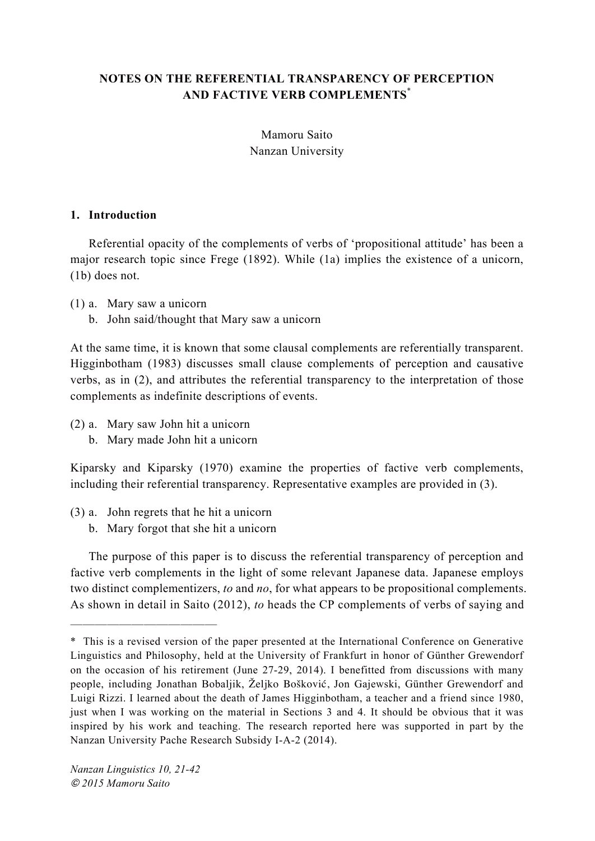# **NOTES ON THE REFERENTIAL TRANSPARENCY OF PERCEPTION AND FACTIVE VERB COMPLEMENTS**\*

Mamoru Saito Nanzan University

### **1. Introduction**

Referential opacity of the complements of verbs of 'propositional attitude' has been a major research topic since Frege (1892). While (1a) implies the existence of a unicorn, (1b) does not.

(1) a. Mary saw a unicorn

b. John said/thought that Mary saw a unicorn

At the same time, it is known that some clausal complements are referentially transparent. Higginbotham (1983) discusses small clause complements of perception and causative verbs, as in (2), and attributes the referential transparency to the interpretation of those complements as indefinite descriptions of events.

- (2) a. Mary saw John hit a unicorn
	- b. Mary made John hit a unicorn

Kiparsky and Kiparsky (1970) examine the properties of factive verb complements, including their referential transparency. Representative examples are provided in (3).

- (3) a. John regrets that he hit a unicorn
	- b. Mary forgot that she hit a unicorn

The purpose of this paper is to discuss the referential transparency of perception and factive verb complements in the light of some relevant Japanese data. Japanese employs two distinct complementizers, *to* and *no*, for what appears to be propositional complements. As shown in detail in Saito (2012), *to* heads the CP complements of verbs of saying and

------------

<sup>\*</sup> This is a revised version of the paper presented at the International Conference on Generative Linguistics and Philosophy, held at the University of Frankfurt in honor of Günther Grewendorf on the occasion of his retirement (June 27-29, 2014). I benefitted from discussions with many people, including Jonathan Bobaljik, Željko Bošković, Jon Gajewski, Günther Grewendorf and Luigi Rizzi. I learned about the death of James Higginbotham, a teacher and a friend since 1980, just when I was working on the material in Sections 3 and 4. It should be obvious that it was inspired by his work and teaching. The research reported here was supported in part by the Nanzan University Pache Research Subsidy I-A-2 (2014).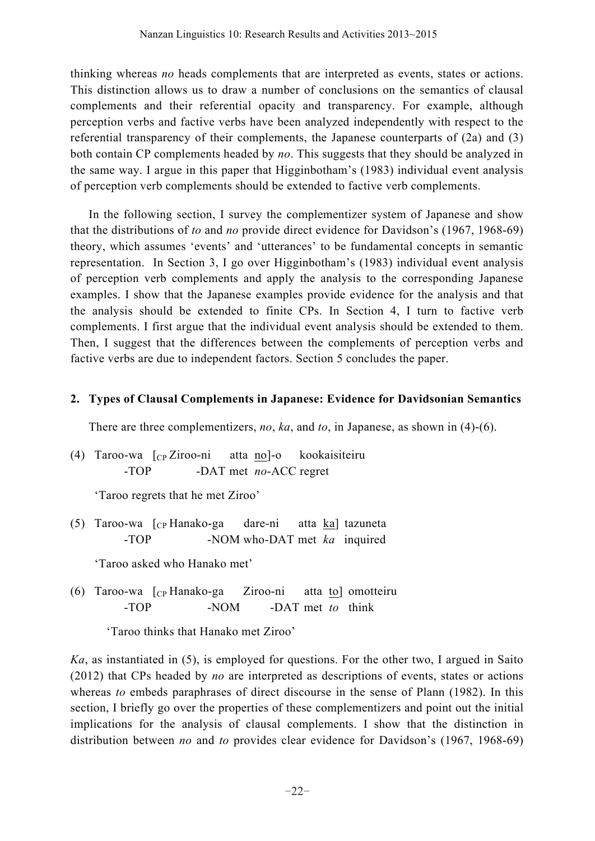thinking whereas *no* heads complements that are interpreted as events, states or actions. This distinction allows us to draw a number of conclusions on the semantics of clausal complements and their referential opacity and transparency. For example, although perception verbs and factive verbs have been analyzed independently with respect to the referential transparency of their complements, the Japanese counterparts of (2a) and (3) both contain CP complements headed by *no*. This suggests that they should be analyzed in the same way. I argue in this paper that Higginbotham's (1983) individual event analysis of perception verb complements should be extended to factive verb complements.

In the following section, I survey the complementizer system of Japanese and show that the distributions of *to* and *no* provide direct evidence for Davidson's (1967, 1968-69) theory, which assumes 'events' and 'utterances' to be fundamental concepts in semantic representation. In Section 3, I go over Higginbotham's (1983) individual event analysis of perception verb complements and apply the analysis to the corresponding Japanese examples. I show that the Japanese examples provide evidence for the analysis and that the analysis should be extended to finite CPs. In Section 4, I turn to factive verb complements. I first argue that the individual event analysis should be extended to them. Then, I suggest that the differences between the complements of perception verbs and factive verbs are due to independent factors. Section 5 concludes the paper.

### **2. Types of Clausal Complements in Japanese: Evidence for Davidsonian Semantics**

There are three complementizers, *no*, *ka*, and *to*, in Japanese, as shown in (4)-(6).

(4) Taroo-wa [CP Ziroo-ni atta no]-o kookaisiteiru -TOP -DAT met *no*-ACC regret

'Taroo regrets that he met Ziroo'

(5) Taroo-wa [CP Hanako-ga dare-ni atta ka] tazuneta -TOP -NOM who-DAT met *ka* inquired

'Taroo asked who Hanako met'

(6) Taroo-wa  $\begin{bmatrix} C_P \end{bmatrix}$ Hanako-ga Ziroo-ni atta to motteiru -TOP -NOM -DAT met *to* think

'Taroo thinks that Hanako met Ziroo'

*Ka*, as instantiated in (5), is employed for questions. For the other two, I argued in Saito (2012) that CPs headed by *no* are interpreted as descriptions of events, states or actions whereas *to* embeds paraphrases of direct discourse in the sense of Plann (1982). In this section, I briefly go over the properties of these complementizers and point out the initial implications for the analysis of clausal complements. I show that the distinction in distribution between *no* and *to* provides clear evidence for Davidson's (1967, 1968-69)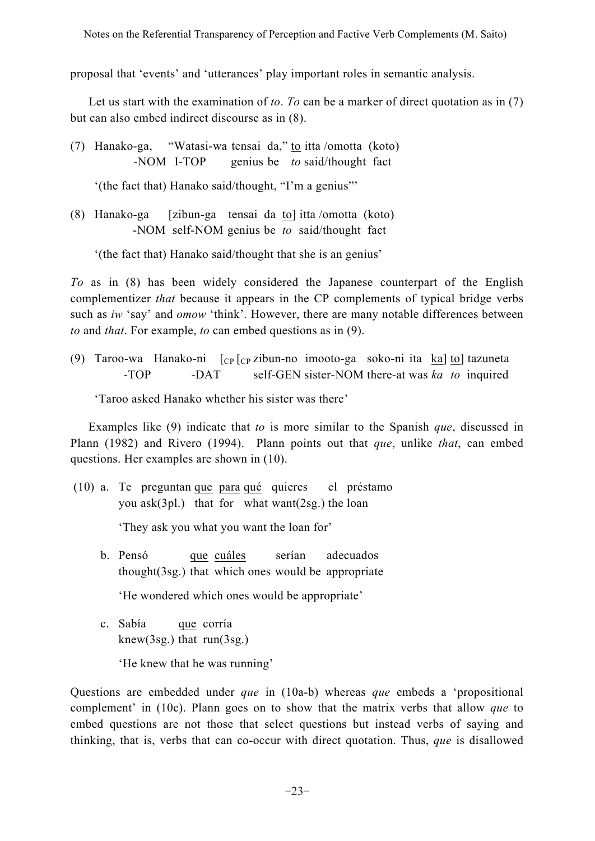proposal that 'events' and 'utterances' play important roles in semantic analysis.

Let us start with the examination of *to*. *To* can be a marker of direct quotation as in (7) but can also embed indirect discourse as in (8).

(7) Hanako-ga, "Watasi-wa tensai da," to itta /omotta (koto) -NOM I-TOP genius be *to* said/thought fact

'(the fact that) Hanako said/thought, "I'm a genius"'

(8) Hanako-ga [zibun-ga tensai da to] itta /omotta (koto) -NOM self-NOM genius be *to* said/thought fact

'(the fact that) Hanako said/thought that she is an genius'

*To* as in (8) has been widely considered the Japanese counterpart of the English complementizer *that* because it appears in the CP complements of typical bridge verbs such as *iw* 'say' and *omow* 'think'. However, there are many notable differences between *to* and *that*. For example, *to* can embed questions as in (9).

(9) Taroo-wa Hanako-ni  $[CP]$  [cp zibun-no imooto-ga soko-ni ita ka] to] tazuneta -TOP -DAT self-GEN sister-NOM there-at was *ka to* inquired

'Taroo asked Hanako whether his sister was there'

Examples like (9) indicate that *to* is more similar to the Spanish *que*, discussed in Plann (1982) and Rivero (1994). Plann points out that *que*, unlike *that*, can embed questions. Her examples are shown in (10).

(10) a. Te preguntan que para qué quieres el préstamo you ask(3pl.) that for what want(2sg.) the loan

'They ask you what you want the loan for'

b. Pensó que cuáles serían adecuados thought(3sg.) that which ones would be appropriate

'He wondered which ones would be appropriate'

c. Sabía que corría knew(3sg.) that run(3sg.)

'He knew that he was running'

Questions are embedded under *que* in (10a-b) whereas *que* embeds a 'propositional complement' in (10c). Plann goes on to show that the matrix verbs that allow *que* to embed questions are not those that select questions but instead verbs of saying and thinking, that is, verbs that can co-occur with direct quotation. Thus, *que* is disallowed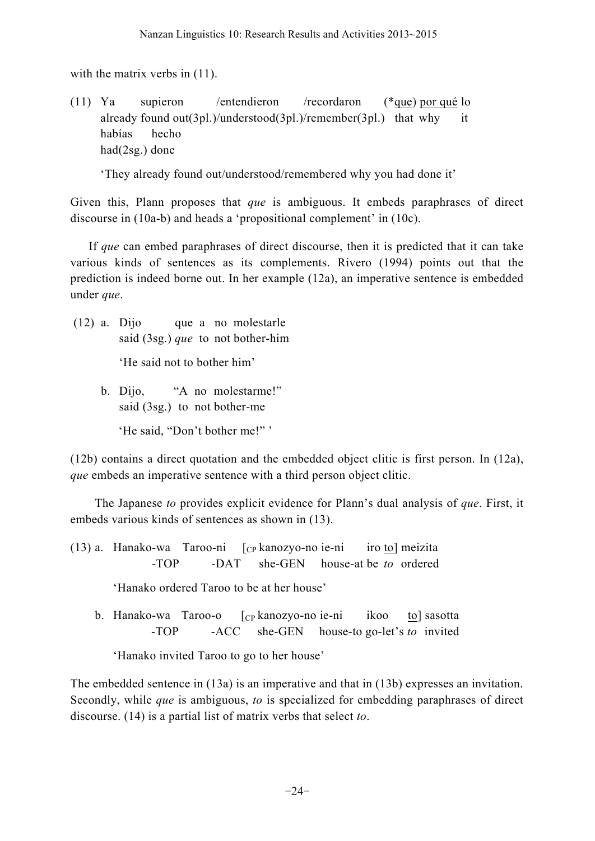with the matrix verbs in  $(11)$ .

(11) Ya supieron /entendieron /recordaron (\*que) por qué lo already found out(3pl.)/understood(3pl.)/remember(3pl.) that why it habías hecho had(2sg.) done

'They already found out/understood/remembered why you had done it'

Given this, Plann proposes that *que* is ambiguous. It embeds paraphrases of direct discourse in (10a-b) and heads a 'propositional complement' in (10c).

If *que* can embed paraphrases of direct discourse, then it is predicted that it can take various kinds of sentences as its complements. Rivero (1994) points out that the prediction is indeed borne out. In her example (12a), an imperative sentence is embedded under *que*.

- (12) a. Dijo que a no molestarle said (3sg.) *que* to not bother-him 'He said not to bother him'
	- b. Dijo, "A no molestarme!" said (3sg.) to not bother-me

'He said, "Don't bother me!"'

(12b) contains a direct quotation and the embedded object clitic is first person. In (12a), *que* embeds an imperative sentence with a third person object clitic.

The Japanese *to* provides explicit evidence for Plann's dual analysis of *que*. First, it embeds various kinds of sentences as shown in (13).

(13) a. Hanako-wa Taroo-ni  $\int_{CP}$  kanozyo-no ie-ni iro to] meizita -TOP -DAT she-GEN house-at be *to* ordered

'Hanako ordered Taroo to be at her house'

b. Hanako-wa Taroo-o [cp kanozyo-no ie-ni ikoo to] sasotta -TOP -ACC she-GEN house-to go-let's *to* invited

'Hanako invited Taroo to go to her house'

The embedded sentence in (13a) is an imperative and that in (13b) expresses an invitation. Secondly, while *que* is ambiguous, *to* is specialized for embedding paraphrases of direct discourse. (14) is a partial list of matrix verbs that select *to*.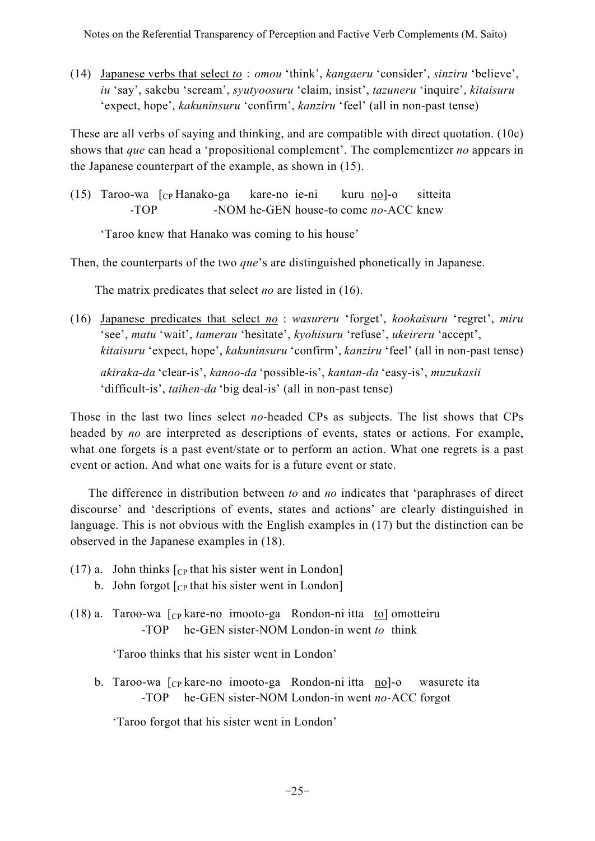(14) Japanese verbs that select *toomou* 'think', *kangaeru* 'consider', *sinziru* 'believe', *iu* 'say', sakebu 'scream', *syutyoosuru* 'claim, insist', *tazuneru* 'inquire', *kitaisuru* 'expect, hope', *kakuninsuru* 'confirm', *kanziru* 'feel' (all in non-past tense)

These are all verbs of saying and thinking, and are compatible with direct quotation. (10c) shows that *que* can head a 'propositional complement'. The complementizer *no* appears in the Japanese counterpart of the example, as shown in (15).

(15) Taroo-wa [CP Hanako-ga kare-no ie-ni kuru no]-o sitteita -TOP -NOM he-GEN house-to come *no*-ACC knew

'Taroo knew that Hanako was coming to his house'

Then, the counterparts of the two *que*'s are distinguished phonetically in Japanese.

The matrix predicates that select *no* are listed in (16).

(16) Japanese predicates that select *no* : *wasureru* 'forget', *kookaisuru* 'regret', *miru* 'see', *matu* 'wait', *tamerau* 'hesitate', *kyohisuru* 'refuse', *ukeireru* 'accept', *kitaisuru* 'expect, hope', *kakuninsuru* 'confirm', *kanziru* 'feel' (all in non-past tense) *akiraka-da* 'clear-is', *kanoo-da* 'possible-is', *kantan-da* 'easy-is', *muzukasii* 'difficult-is', *taihen-da* 'big deal-is' (all in non-past tense)

Those in the last two lines select *no*-headed CPs as subjects. The list shows that CPs headed by *no* are interpreted as descriptions of events, states or actions. For example, what one forgets is a past event/state or to perform an action. What one regrets is a past event or action. And what one waits for is a future event or state.

The difference in distribution between *to* and *no* indicates that 'paraphrases of direct discourse' and 'descriptions of events, states and actions' are clearly distinguished in language. This is not obvious with the English examples in (17) but the distinction can be observed in the Japanese examples in (18).

- (17) a. John thinks  $\lceil_{CP}$  that his sister went in London] b. John forgot  $\lceil_{CP}$  that his sister went in London
- (18) a. Taroo-wa [CP kare-no imooto-ga Rondon-ni itta to] omotteiru -TOP he-GEN sister-NOM London-in went *to* think

'Taroo thinks that his sister went in London'

b. Taroo-wa [cp kare-no imooto-ga Rondon-ni itta no]-o wasurete ita -TOP he-GEN sister-NOM London-in went *no*-ACC forgot

'Taroo forgot that his sister went in London'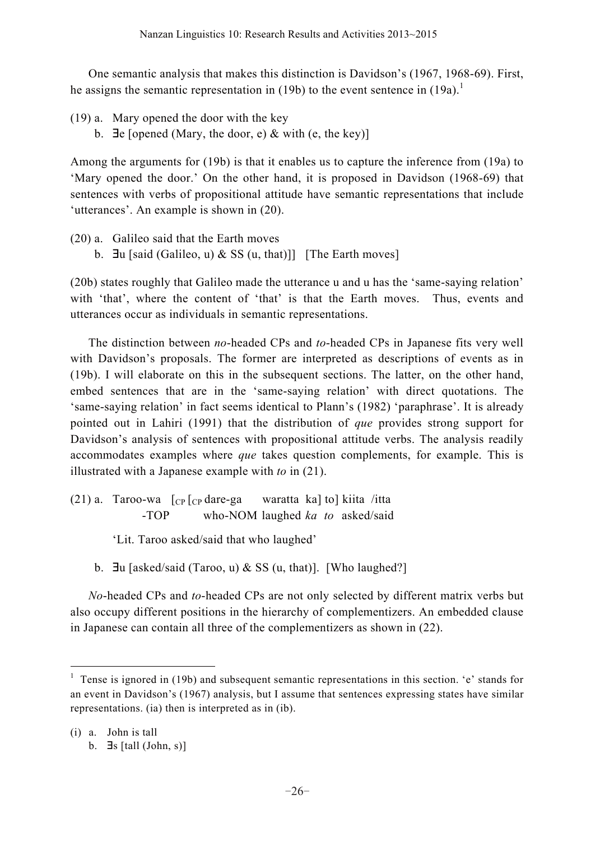One semantic analysis that makes this distinction is Davidson's (1967, 1968-69). First, he assigns the semantic representation in (19b) to the event sentence in  $(19a)$ .<sup>1</sup>

- (19) a. Mary opened the door with the key
	- b.  $\exists e$  [opened (Mary, the door, e) & with (e, the key)]

Among the arguments for (19b) is that it enables us to capture the inference from (19a) to 'Mary opened the door.' On the other hand, it is proposed in Davidson (1968-69) that sentences with verbs of propositional attitude have semantic representations that include 'utterances'. An example is shown in (20).

- (20) a. Galileo said that the Earth moves
	- b.  $\exists u$  [said (Galileo, u) & SS (u, that)]] [The Earth moves]

(20b) states roughly that Galileo made the utterance u and u has the 'same-saying relation' with 'that', where the content of 'that' is that the Earth moves. Thus, events and utterances occur as individuals in semantic representations.

The distinction between *no*-headed CPs and *to*-headed CPs in Japanese fits very well with Davidson's proposals. The former are interpreted as descriptions of events as in (19b). I will elaborate on this in the subsequent sections. The latter, on the other hand, embed sentences that are in the 'same-saying relation' with direct quotations. The 'same-saying relation' in fact seems identical to Plann's (1982) 'paraphrase'. It is already pointed out in Lahiri (1991) that the distribution of *que* provides strong support for Davidson's analysis of sentences with propositional attitude verbs. The analysis readily accommodates examples where *que* takes question complements, for example. This is illustrated with a Japanese example with *to* in (21).

(21) a. Taroo-wa  $\lbrack CP \rbrack CP$  dare-ga waratta ka] to] kiita /itta -TOP who-NOM laughed *ka to* asked/said

'Lit. Taroo asked/said that who laughed'

b.  $\exists u$  [asked/said (Taroo, u) & SS (u, that)]. [Who laughed?]

*No*-headed CPs and *to*-headed CPs are not only selected by different matrix verbs but also occupy different positions in the hierarchy of complementizers. An embedded clause in Japanese can contain all three of the complementizers as shown in (22).

<sup>&</sup>lt;sup>1</sup> Tense is ignored in (19b) and subsequent semantic representations in this section. 'e' stands for an event in Davidson's (1967) analysis, but I assume that sentences expressing states have similar representations. (ia) then is interpreted as in (ib).

<sup>(</sup>i) a. John is tall

b.  $\exists s \, [\text{tall } (\text{John}, s)]$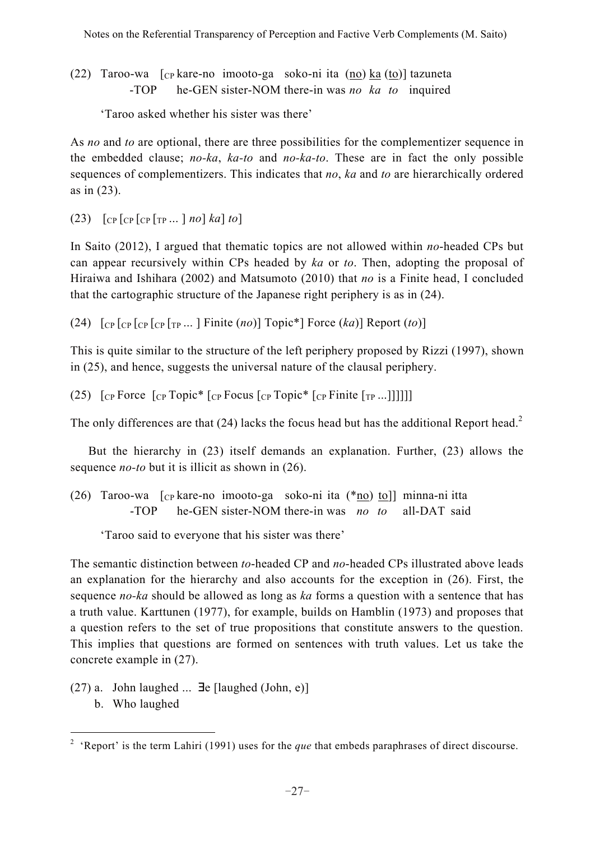(22) Taroo-wa  $\lbrack \text{cp}$  kare-no imooto-ga soko-ni ita  $\left(\frac{no}{ro}\right)$  ka $\left(\frac{to}{ro}\right)$  tazuneta -TOP he-GEN sister-NOM there-in was *no ka to* inquired

'Taroo asked whether his sister was there'

As *no* and *to* are optional, there are three possibilities for the complementizer sequence in the embedded clause; *no-ka*, *ka-to* and *no-ka-to*. These are in fact the only possible sequences of complementizers. This indicates that *no*, *ka* and *to* are hierarchically ordered as in (23).

(23) [CP [CP [CP [TP ... ] *no*] *ka*] *to*]

In Saito (2012), I argued that thematic topics are not allowed within *no*-headed CPs but can appear recursively within CPs headed by *ka* or *to*. Then, adopting the proposal of Hiraiwa and Ishihara (2002) and Matsumoto (2010) that *no* is a Finite head, I concluded that the cartographic structure of the Japanese right periphery is as in (24).

(24) [CP [CP [CP [CP [TP ... ] Finite (*no*)] Topic\*] Force (*ka*)] Report (*to*)]

This is quite similar to the structure of the left periphery proposed by Rizzi (1997), shown in (25), and hence, suggests the universal nature of the clausal periphery.

(25)  $\int_{\text{CP}}$  Force  $\int_{\text{CP}}$  Topic\*  $\int_{\text{CP}}$  Focus  $\int_{\text{CP}}$  Topic\*  $\int_{\text{CP}}$  Finite  $\int_{\text{TP}}$  ...

The only differences are that  $(24)$  lacks the focus head but has the additional Report head.<sup>2</sup>

But the hierarchy in (23) itself demands an explanation. Further, (23) allows the sequence *no-to* but it is illicit as shown in (26).

(26) Taroo-wa [CP kare-no imooto-ga soko-ni ita (\*no) to]] minna-ni itta -TOP he-GEN sister-NOM there-in was *no to* all-DAT said

'Taroo said to everyone that his sister was there'

The semantic distinction between *to*-headed CP and *no*-headed CPs illustrated above leads an explanation for the hierarchy and also accounts for the exception in (26). First, the sequence *no-ka* should be allowed as long as *ka* forms a question with a sentence that has a truth value. Karttunen (1977), for example, builds on Hamblin (1973) and proposes that a question refers to the set of true propositions that constitute answers to the question. This implies that questions are formed on sentences with truth values. Let us take the concrete example in (27).

- $(27)$  a. John laughed ...  $\exists$ e [laughed (John, e)]
	- b. Who laughed

<sup>&</sup>lt;sup>2</sup> 'Report' is the term Lahiri (1991) uses for the *que* that embeds paraphrases of direct discourse.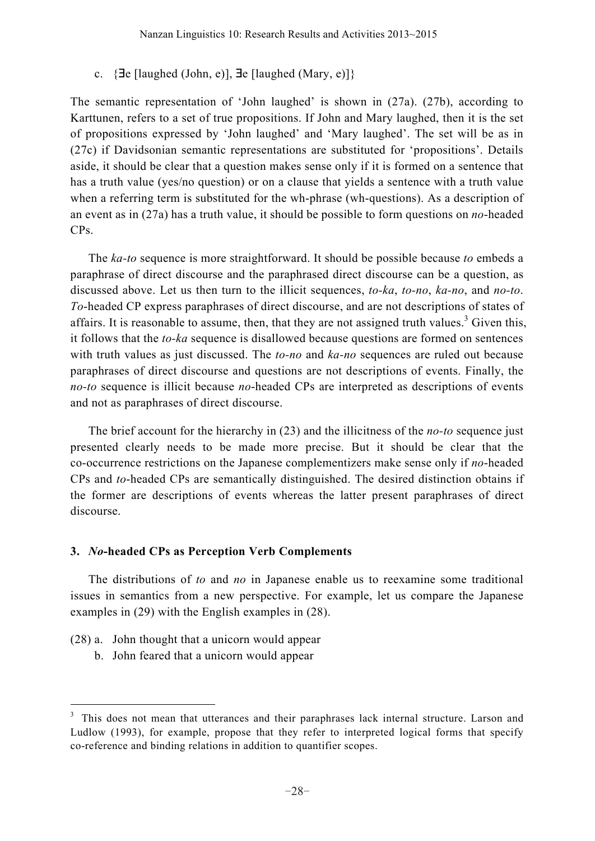c.  $\{ \exists e \; [\text{laughed (John, e)}], \exists e \; [\text{laughed (Mary, e)}] \}$ 

The semantic representation of 'John laughed' is shown in (27a). (27b), according to Karttunen, refers to a set of true propositions. If John and Mary laughed, then it is the set of propositions expressed by 'John laughed' and 'Mary laughed'. The set will be as in (27c) if Davidsonian semantic representations are substituted for 'propositions'. Details aside, it should be clear that a question makes sense only if it is formed on a sentence that has a truth value (yes/no question) or on a clause that yields a sentence with a truth value when a referring term is substituted for the wh-phrase (wh-questions). As a description of an event as in (27a) has a truth value, it should be possible to form questions on *no*-headed CPs.

The *ka-to* sequence is more straightforward. It should be possible because *to* embeds a paraphrase of direct discourse and the paraphrased direct discourse can be a question, as discussed above. Let us then turn to the illicit sequences, *to-ka*, *to-no*, *ka-no*, and *no-to*. *To*-headed CP express paraphrases of direct discourse, and are not descriptions of states of affairs. It is reasonable to assume, then, that they are not assigned truth values.<sup>3</sup> Given this, it follows that the *to-ka* sequence is disallowed because questions are formed on sentences with truth values as just discussed. The *to-no* and *ka-no* sequences are ruled out because paraphrases of direct discourse and questions are not descriptions of events. Finally, the *no-to* sequence is illicit because *no*-headed CPs are interpreted as descriptions of events and not as paraphrases of direct discourse.

The brief account for the hierarchy in (23) and the illicitness of the *no-to* sequence just presented clearly needs to be made more precise. But it should be clear that the co-occurrence restrictions on the Japanese complementizers make sense only if *no*-headed CPs and *to*-headed CPs are semantically distinguished. The desired distinction obtains if the former are descriptions of events whereas the latter present paraphrases of direct discourse.

## **3.** *No***-headed CPs as Perception Verb Complements**

The distributions of *to* and *no* in Japanese enable us to reexamine some traditional issues in semantics from a new perspective. For example, let us compare the Japanese examples in (29) with the English examples in (28).

- (28) a. John thought that a unicorn would appear
	- b. John feared that a unicorn would appear

<sup>&</sup>lt;sup>3</sup> This does not mean that utterances and their paraphrases lack internal structure. Larson and Ludlow (1993), for example, propose that they refer to interpreted logical forms that specify co-reference and binding relations in addition to quantifier scopes.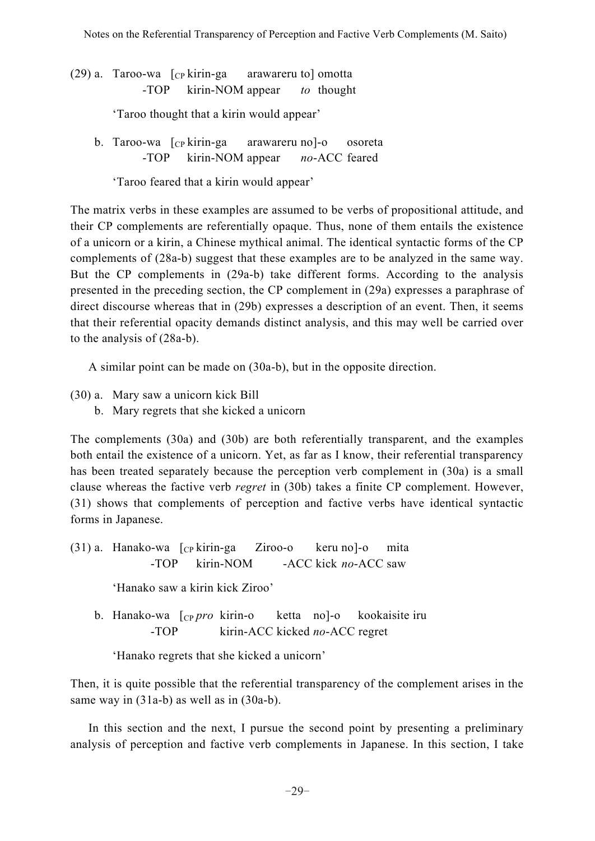$(29)$  a. Taroo-wa  $\left[$ <sub>CP</sub> kirin-ga arawareru to $\right]$  omotta -TOP kirin-NOM appear *to* thought

'Taroo thought that a kirin would appear'

b. Taroo-wa  $\lceil_{CP}$  kirin-ga arawareru no]-o osoreta -TOP kirin-NOM appear *no*-ACC feared

'Taroo feared that a kirin would appear'

The matrix verbs in these examples are assumed to be verbs of propositional attitude, and their CP complements are referentially opaque. Thus, none of them entails the existence of a unicorn or a kirin, a Chinese mythical animal. The identical syntactic forms of the CP complements of (28a-b) suggest that these examples are to be analyzed in the same way. But the CP complements in (29a-b) take different forms. According to the analysis presented in the preceding section, the CP complement in (29a) expresses a paraphrase of direct discourse whereas that in (29b) expresses a description of an event. Then, it seems that their referential opacity demands distinct analysis, and this may well be carried over to the analysis of (28a-b).

A similar point can be made on (30a-b), but in the opposite direction.

- (30) a. Mary saw a unicorn kick Bill
	- b. Mary regrets that she kicked a unicorn

The complements (30a) and (30b) are both referentially transparent, and the examples both entail the existence of a unicorn. Yet, as far as I know, their referential transparency has been treated separately because the perception verb complement in (30a) is a small clause whereas the factive verb *regret* in (30b) takes a finite CP complement. However, (31) shows that complements of perception and factive verbs have identical syntactic forms in Japanese.

(31) a. Hanako-wa  $\lceil$ <sub>CP</sub> kirin-ga Ziroo-o keru no]-o mita -TOP kirin-NOM -ACC kick *no*-ACC saw

'Hanako saw a kirin kick Ziroo'

b. Hanako-wa [CP *pro* kirin-o ketta no]-o kookaisite iru -TOP kirin-ACC kicked *no*-ACC regret

'Hanako regrets that she kicked a unicorn'

Then, it is quite possible that the referential transparency of the complement arises in the same way in  $(31a-b)$  as well as in  $(30a-b)$ .

In this section and the next, I pursue the second point by presenting a preliminary analysis of perception and factive verb complements in Japanese. In this section, I take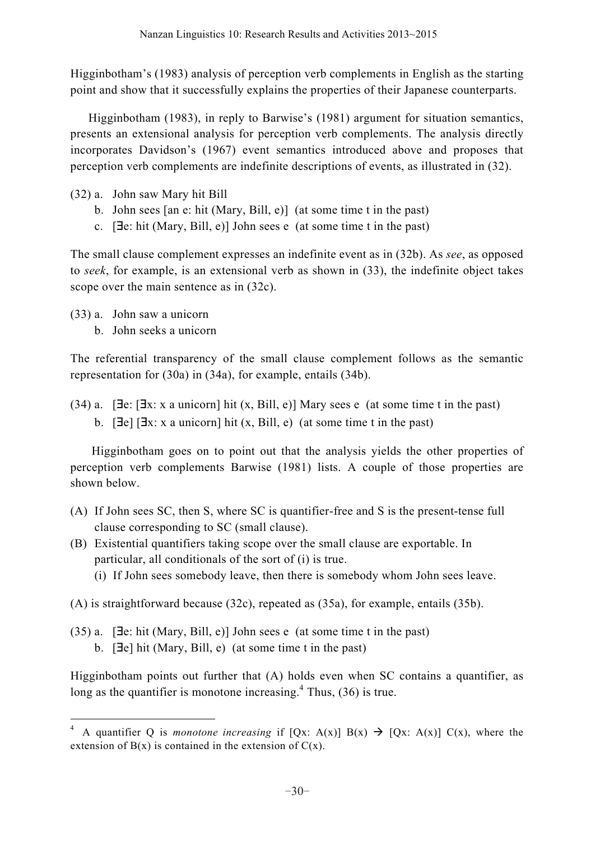Higginbotham's (1983) analysis of perception verb complements in English as the starting point and show that it successfully explains the properties of their Japanese counterparts.

Higginbotham (1983), in reply to Barwise's (1981) argument for situation semantics, presents an extensional analysis for perception verb complements. The analysis directly incorporates Davidson's (1967) event semantics introduced above and proposes that perception verb complements are indefinite descriptions of events, as illustrated in (32).

- (32) a. John saw Mary hit Bill
	- b. John sees [an e: hit (Mary, Bill, e)] (at some time t in the past)
	- c. [**J**e: hit (Mary, Bill, e)] John sees e (at some time t in the past)

The small clause complement expresses an indefinite event as in (32b). As *see*, as opposed to *seek*, for example, is an extensional verb as shown in (33), the indefinite object takes scope over the main sentence as in (32c).

- (33) a. John saw a unicorn
	- b. John seeks a unicorn

The referential transparency of the small clause complement follows as the semantic representation for (30a) in (34a), for example, entails (34b).

(34) a. [ $\exists$ e: [ $\exists$ x: x a unicorn] hit (x, Bill, e)] Mary sees e (at some time t in the past) b.  $[\exists e] [\exists x: x \text{ a unicorn}]$  hit  $(x, \text{Bill}, e)$  (at some time t in the past)

Higginbotham goes on to point out that the analysis yields the other properties of perception verb complements Barwise (1981) lists. A couple of those properties are shown below.

- (A) If John sees SC, then S, where SC is quantifier-free and S is the present-tense full clause corresponding to SC (small clause).
- (B) Existential quantifiers taking scope over the small clause are exportable. In particular, all conditionals of the sort of (i) is true.
	- (i) If John sees somebody leave, then there is somebody whom John sees leave.

(A) is straightforward because (32c), repeated as (35a), for example, entails (35b).

 $(35)$  a. [ $\exists$ e: hit (Mary, Bill, e)] John sees e (at some time t in the past) b. [Ele] hit (Mary, Bill, e) (at some time t in the past)

Higginbotham points out further that (A) holds even when SC contains a quantifier, as long as the quantifier is monotone increasing. $4$  Thus, (36) is true.

<sup>&</sup>lt;sup>4</sup> A quantifier Q is *monotone increasing* if  $[Qx: A(x)] B(x) \rightarrow [Qx: A(x)] C(x)$ , where the extension of  $B(x)$  is contained in the extension of  $C(x)$ .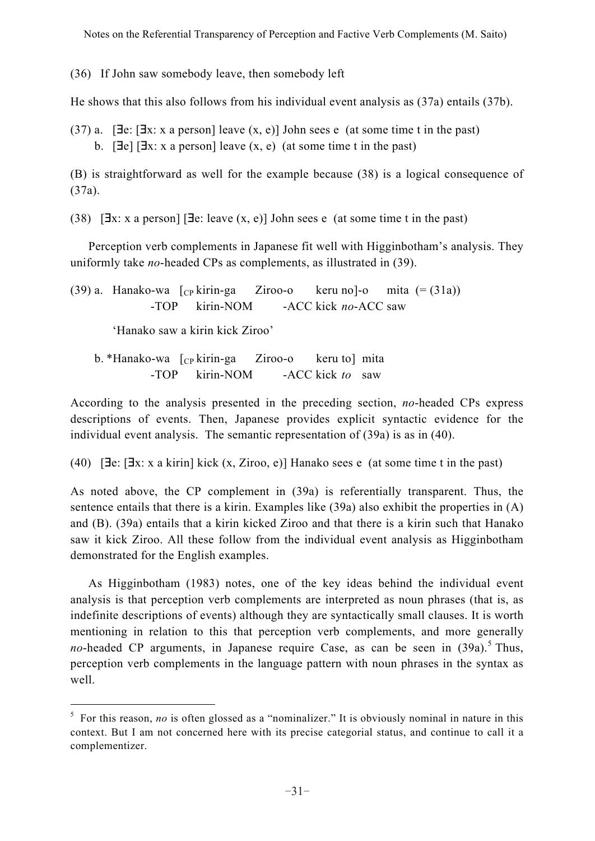Notes on the Referential Transparency of Perception and Factive Verb Complements (M. Saito)

(36) If John saw somebody leave, then somebody left

He shows that this also follows from his individual event analysis as (37a) entails (37b).

 $(37)$  a. [Ele: [Ele: x a person] leave  $(x, e)$ ] John sees e (at some time t in the past) b.  $[\exists e] [\exists x: x \text{ a person}]$  leave  $(x, e)$  (at some time t in the past)

(B) is straightforward as well for the example because (38) is a logical consequence of (37a).

(38)  $[\exists x: x \text{ a person}] [\exists e: leave (x, e)] \text{ John sees } e \text{ (at some time } t \text{ in the past)}$ 

Perception verb complements in Japanese fit well with Higginbotham's analysis. They uniformly take *no*-headed CPs as complements, as illustrated in (39).

(39) a. Hanako-wa  $\lceil_{CP}$  kirin-ga Ziroo-o keru no]-o mita  $(=(31a))$ -TOP kirin-NOM -ACC kick *no*-ACC saw

'Hanako saw a kirin kick Ziroo'

b. \*Hanako-wa [cp kirin-ga Ziroo-o keru to] mita -TOP kirin-NOM -ACC kick *to* saw

According to the analysis presented in the preceding section, *no*-headed CPs express descriptions of events. Then, Japanese provides explicit syntactic evidence for the individual event analysis. The semantic representation of (39a) is as in (40).

(40)  $[\exists e: [\exists x: x \text{ a kirin}]$  kick  $(x, \text{Ziroo}, e)]$  Hanako sees e (at some time t in the past)

As noted above, the CP complement in (39a) is referentially transparent. Thus, the sentence entails that there is a kirin. Examples like  $(39a)$  also exhibit the properties in  $(A)$ and (B). (39a) entails that a kirin kicked Ziroo and that there is a kirin such that Hanako saw it kick Ziroo. All these follow from the individual event analysis as Higginbotham demonstrated for the English examples.

As Higginbotham (1983) notes, one of the key ideas behind the individual event analysis is that perception verb complements are interpreted as noun phrases (that is, as indefinite descriptions of events) although they are syntactically small clauses. It is worth mentioning in relation to this that perception verb complements, and more generally *no*-headed CP arguments, in Japanese require Case, as can be seen in  $(39a)$ .<sup>5</sup> Thus, perception verb complements in the language pattern with noun phrases in the syntax as well.

<sup>&</sup>lt;sup>5</sup> For this reason, *no* is often glossed as a "nominalizer." It is obviously nominal in nature in this context. But I am not concerned here with its precise categorial status, and continue to call it a complementizer.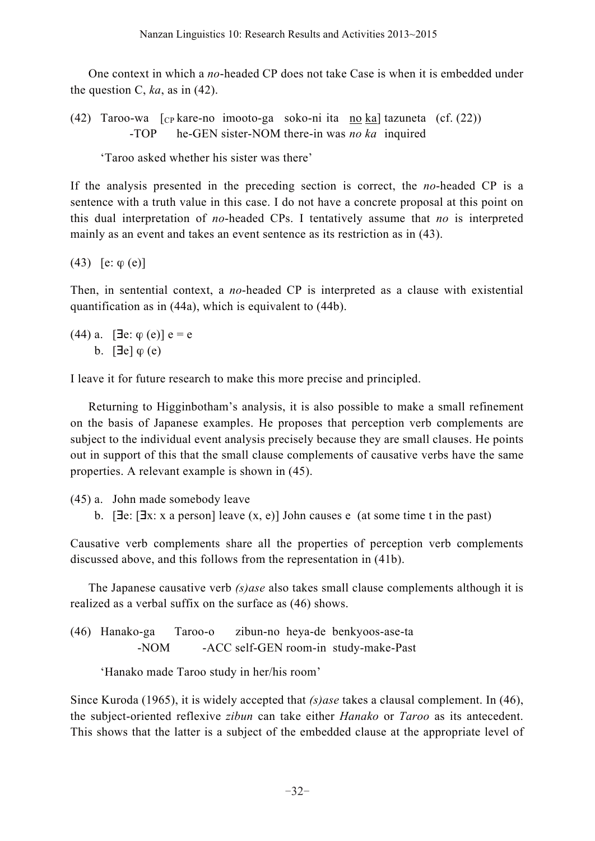One context in which a *no*-headed CP does not take Case is when it is embedded under the question C,  $ka$ , as in (42).

(42) Taroo-wa  $\lceil_{CP}$  kare-no imooto-ga soko-ni ita no ka] tazuneta (cf. (22)) -TOP he-GEN sister-NOM there-in was *no ka* inquired

'Taroo asked whether his sister was there'

If the analysis presented in the preceding section is correct, the *no*-headed CP is a sentence with a truth value in this case. I do not have a concrete proposal at this point on this dual interpretation of *no*-headed CPs. I tentatively assume that *no* is interpreted mainly as an event and takes an event sentence as its restriction as in (43).

(43) [e:  $\varphi$  (e)]

Then, in sentential context, a *no*-headed CP is interpreted as a clause with existential quantification as in (44a), which is equivalent to (44b).

 $(44)$  a. [ $\exists$ e:  $\varphi$  (e)] e = e b.  $[\exists e] \varphi(e)$ 

I leave it for future research to make this more precise and principled.

Returning to Higginbotham's analysis, it is also possible to make a small refinement on the basis of Japanese examples. He proposes that perception verb complements are subject to the individual event analysis precisely because they are small clauses. He points out in support of this that the small clause complements of causative verbs have the same properties. A relevant example is shown in (45).

(45) a. John made somebody leave

b. [ $\exists$ e: [ $\exists$ x: x a person] leave (x, e)] John causes e (at some time t in the past)

Causative verb complements share all the properties of perception verb complements discussed above, and this follows from the representation in (41b).

The Japanese causative verb *(s)ase* also takes small clause complements although it is realized as a verbal suffix on the surface as (46) shows.

(46) Hanako-ga Taroo-o zibun-no heya-de benkyoos-ase-ta -NOM -ACC self-GEN room-in study-make-Past

'Hanako made Taroo study in her/his room'

Since Kuroda (1965), it is widely accepted that *(s)ase* takes a clausal complement. In (46), the subject-oriented reflexive *zibun* can take either *Hanako* or *Taroo* as its antecedent. This shows that the latter is a subject of the embedded clause at the appropriate level of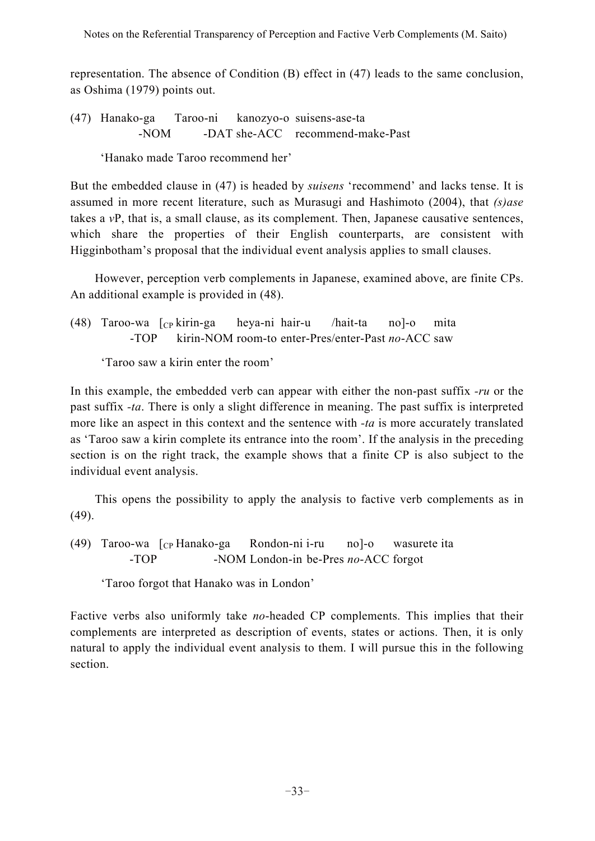representation. The absence of Condition (B) effect in (47) leads to the same conclusion, as Oshima (1979) points out.

(47) Hanako-ga Taroo-ni kanozyo-o suisens-ase-ta -NOM -DAT she-ACC recommend-make-Past

'Hanako made Taroo recommend her'

But the embedded clause in (47) is headed by *suisens* 'recommend' and lacks tense. It is assumed in more recent literature, such as Murasugi and Hashimoto (2004), that *(s)ase* takes a *v*P, that is, a small clause, as its complement. Then, Japanese causative sentences, which share the properties of their English counterparts, are consistent with Higginbotham's proposal that the individual event analysis applies to small clauses.

However, perception verb complements in Japanese, examined above, are finite CPs. An additional example is provided in (48).

(48) Taroo-wa [CP kirin-ga heya-ni hair-u /hait-ta no]-o mita -TOP kirin-NOM room-to enter-Pres/enter-Past *no*-ACC saw

'Taroo saw a kirin enter the room'

In this example, the embedded verb can appear with either the non-past suffix *-ru* or the past suffix *-ta*. There is only a slight difference in meaning. The past suffix is interpreted more like an aspect in this context and the sentence with *-ta* is more accurately translated as 'Taroo saw a kirin complete its entrance into the room'. If the analysis in the preceding section is on the right track, the example shows that a finite CP is also subject to the individual event analysis.

This opens the possibility to apply the analysis to factive verb complements as in (49).

(49) Taroo-wa  $\lceil_{CP}$  Hanako-ga Rondon-ni i-ru no]-o wasurete ita -TOP -NOM London-in be-Pres *no*-ACC forgot

'Taroo forgot that Hanako was in London'

Factive verbs also uniformly take *no*-headed CP complements. This implies that their complements are interpreted as description of events, states or actions. Then, it is only natural to apply the individual event analysis to them. I will pursue this in the following section.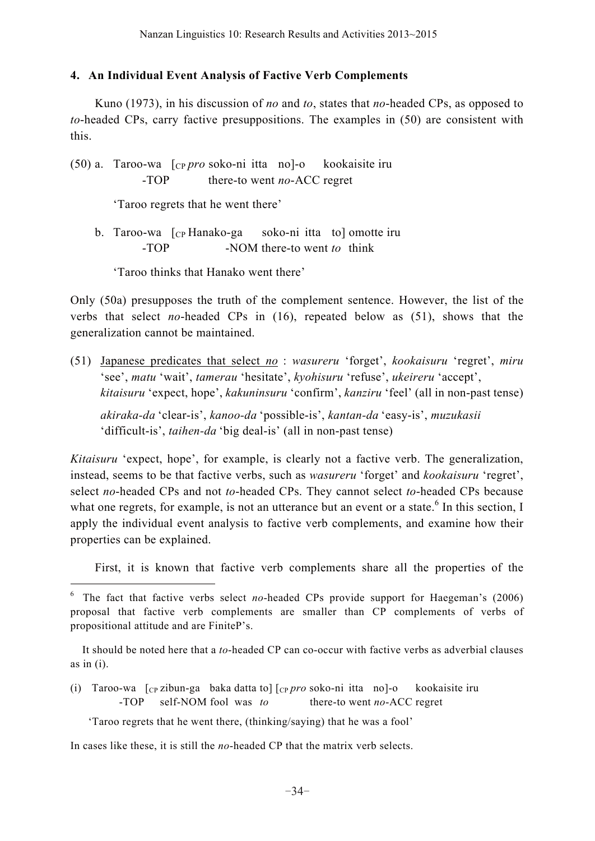#### **4. An Individual Event Analysis of Factive Verb Complements**

Kuno (1973), in his discussion of *no* and *to*, states that *no*-headed CPs, as opposed to *to*-headed CPs, carry factive presuppositions. The examples in (50) are consistent with this.

(50) a. Taroo-wa [CP *pro* soko-ni itta no]-o kookaisite iru -TOP there-to went *no*-ACC regret

'Taroo regrets that he went there'

b. Taroo-wa [cp Hanako-ga soko-ni itta to] omotte iru -TOP -NOM there-to went *to* think

'Taroo thinks that Hanako went there'

Only (50a) presupposes the truth of the complement sentence. However, the list of the verbs that select *no*-headed CPs in (16), repeated below as (51), shows that the generalization cannot be maintained.

(51) Japanese predicates that select *no* : *wasureru* 'forget', *kookaisuru* 'regret', *miru* 'see', *matu* 'wait', *tamerau* 'hesitate', *kyohisuru* 'refuse', *ukeireru* 'accept', *kitaisuru* 'expect, hope', *kakuninsuru* 'confirm', *kanziru* 'feel' (all in non-past tense)

*akiraka-da* 'clear-is', *kanoo-da* 'possible-is', *kantan-da* 'easy-is', *muzukasii* 'difficult-is', *taihen-da* 'big deal-is' (all in non-past tense)

*Kitaisuru* 'expect, hope', for example, is clearly not a factive verb. The generalization, instead, seems to be that factive verbs, such as *wasureru* 'forget' and *kookaisuru* 'regret', select *no*-headed CPs and not *to*-headed CPs. They cannot select *to*-headed CPs because what one regrets, for example, is not an utterance but an event or a state.<sup>6</sup> In this section, I apply the individual event analysis to factive verb complements, and examine how their properties can be explained.

First, it is known that factive verb complements share all the properties of the

(i) Taroo-wa [CP zibun-ga baka datta to] [CP *pro* soko-ni itta no]-o kookaisite iru -TOP self-NOM fool was *to* there-to went *no*-ACC regret

'Taroo regrets that he went there, (thinking/saying) that he was a fool'

In cases like these, it is still the *no*-headed CP that the matrix verb selects.

<sup>6</sup> The fact that factive verbs select *no*-headed CPs provide support for Haegeman's (2006) proposal that factive verb complements are smaller than CP complements of verbs of propositional attitude and are FiniteP's.

It should be noted here that a *to*-headed CP can co-occur with factive verbs as adverbial clauses as in  $(i)$ .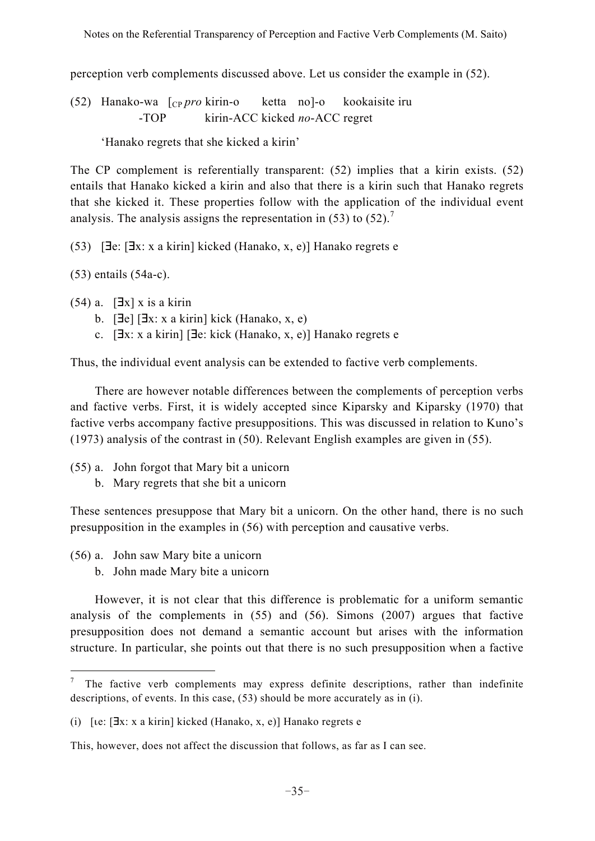perception verb complements discussed above. Let us consider the example in (52).

(52) Hanako-wa [CP *pro* kirin-o ketta no]-o kookaisite iru -TOP kirin-ACC kicked *no*-ACC regret

'Hanako regrets that she kicked a kirin'

The CP complement is referentially transparent: (52) implies that a kirin exists. (52) entails that Hanako kicked a kirin and also that there is a kirin such that Hanako regrets that she kicked it. These properties follow with the application of the individual event analysis. The analysis assigns the representation in  $(53)$  to  $(52)$ .<sup>7</sup>

 $(53)$  [ $\exists$ e: [ $\exists$ x: x a kirin] kicked (Hanako, x, e)] Hanako regrets e

(53) entails (54a-c).

 $(54)$  a.  $[\exists x]$  x is a kirin

- b.  $[\exists e] [\exists x: x \text{ a kirin}]$  kick (Hanako, x, e)
- c. [Ex: x a kirin] [Ex: kick (Hanako, x, e)] Hanako regrets e

Thus, the individual event analysis can be extended to factive verb complements.

There are however notable differences between the complements of perception verbs and factive verbs. First, it is widely accepted since Kiparsky and Kiparsky (1970) that factive verbs accompany factive presuppositions. This was discussed in relation to Kuno's (1973) analysis of the contrast in (50). Relevant English examples are given in (55).

- (55) a. John forgot that Mary bit a unicorn
	- b. Mary regrets that she bit a unicorn

These sentences presuppose that Mary bit a unicorn. On the other hand, there is no such presupposition in the examples in (56) with perception and causative verbs.

- (56) a. John saw Mary bite a unicorn
	- b. John made Mary bite a unicorn

However, it is not clear that this difference is problematic for a uniform semantic analysis of the complements in (55) and (56). Simons (2007) argues that factive presupposition does not demand a semantic account but arises with the information structure. In particular, she points out that there is no such presupposition when a factive

The factive verb complements may express definite descriptions, rather than indefinite descriptions, of events. In this case, (53) should be more accurately as in (i).

<sup>(</sup>i)  $[ie: [\exists x: x \text{ a kirin}] \text{ kicked (Hanako, x, e)}]$  Hanako regrets e

This, however, does not affect the discussion that follows, as far as I can see.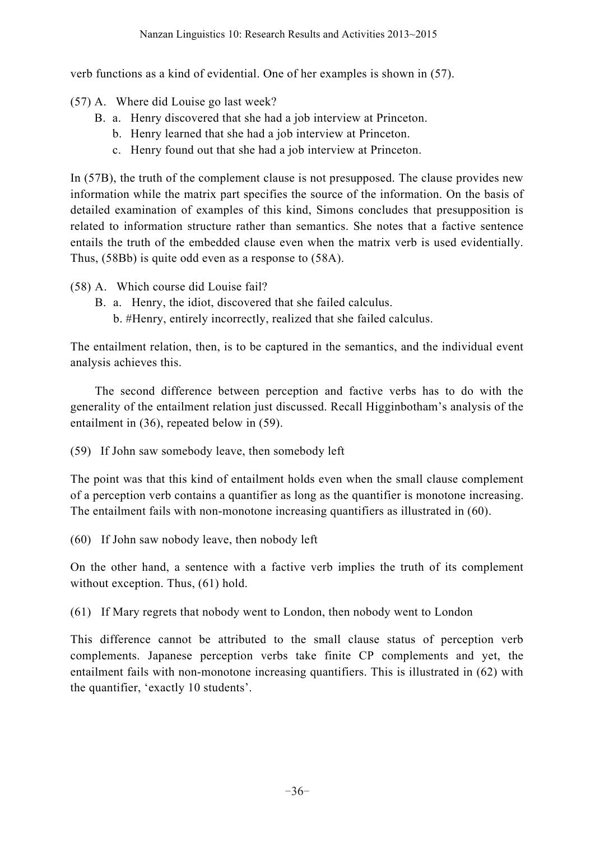verb functions as a kind of evidential. One of her examples is shown in (57).

(57) A. Where did Louise go last week?

- B. a. Henry discovered that she had a job interview at Princeton.
	- b. Henry learned that she had a job interview at Princeton.
	- c. Henry found out that she had a job interview at Princeton.

In (57B), the truth of the complement clause is not presupposed. The clause provides new information while the matrix part specifies the source of the information. On the basis of detailed examination of examples of this kind, Simons concludes that presupposition is related to information structure rather than semantics. She notes that a factive sentence entails the truth of the embedded clause even when the matrix verb is used evidentially. Thus, (58Bb) is quite odd even as a response to (58A).

- (58) A. Which course did Louise fail?
	- B. a. Henry, the idiot, discovered that she failed calculus.
		- b. #Henry, entirely incorrectly, realized that she failed calculus.

The entailment relation, then, is to be captured in the semantics, and the individual event analysis achieves this.

The second difference between perception and factive verbs has to do with the generality of the entailment relation just discussed. Recall Higginbotham's analysis of the entailment in (36), repeated below in (59).

(59) If John saw somebody leave, then somebody left

The point was that this kind of entailment holds even when the small clause complement of a perception verb contains a quantifier as long as the quantifier is monotone increasing. The entailment fails with non-monotone increasing quantifiers as illustrated in (60).

(60) If John saw nobody leave, then nobody left

On the other hand, a sentence with a factive verb implies the truth of its complement without exception. Thus,  $(61)$  hold.

(61) If Mary regrets that nobody went to London, then nobody went to London

This difference cannot be attributed to the small clause status of perception verb complements. Japanese perception verbs take finite CP complements and yet, the entailment fails with non-monotone increasing quantifiers. This is illustrated in (62) with the quantifier, 'exactly 10 students'.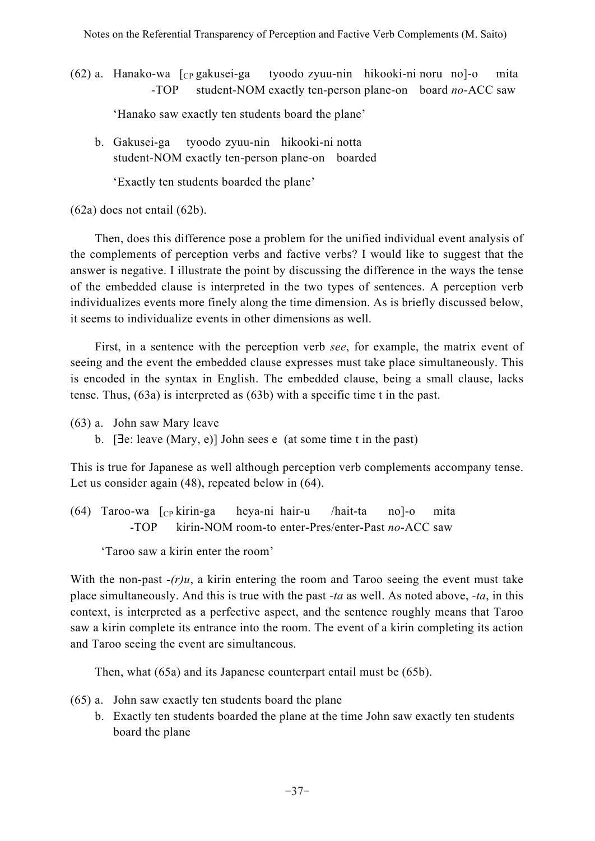$(62)$  a. Hanako-wa  $\int_{CP}$  gakusei-ga tyoodo zyuu-nin hikooki-ni noru no]-o mita -TOP student-NOM exactly ten-person plane-on board *no*-ACC saw

'Hanako saw exactly ten students board the plane'

b. Gakusei-ga tyoodo zyuu-nin hikooki-ni notta student-NOM exactly ten-person plane-on boarded

'Exactly ten students boarded the plane'

(62a) does not entail (62b).

Then, does this difference pose a problem for the unified individual event analysis of the complements of perception verbs and factive verbs? I would like to suggest that the answer is negative. I illustrate the point by discussing the difference in the ways the tense of the embedded clause is interpreted in the two types of sentences. A perception verb individualizes events more finely along the time dimension. As is briefly discussed below, it seems to individualize events in other dimensions as well.

First, in a sentence with the perception verb *see*, for example, the matrix event of seeing and the event the embedded clause expresses must take place simultaneously. This is encoded in the syntax in English. The embedded clause, being a small clause, lacks tense. Thus, (63a) is interpreted as (63b) with a specific time t in the past.

- (63) a. John saw Mary leave
	- b. [Ee: leave (Mary, e)] John sees e (at some time t in the past)

This is true for Japanese as well although perception verb complements accompany tense. Let us consider again (48), repeated below in (64).

 $(64)$  Taroo-wa  $\lceil c_{\rm P} \rceil$  kirin-ga heya-ni hair-u /hait-ta no]-o mita -TOP kirin-NOM room-to enter-Pres/enter-Past *no*-ACC saw

'Taroo saw a kirin enter the room'

With the non-past  $-(r)u$ , a kirin entering the room and Taroo seeing the event must take place simultaneously. And this is true with the past *-ta* as well. As noted above, *-ta*, in this context, is interpreted as a perfective aspect, and the sentence roughly means that Taroo saw a kirin complete its entrance into the room. The event of a kirin completing its action and Taroo seeing the event are simultaneous.

Then, what (65a) and its Japanese counterpart entail must be (65b).

- (65) a. John saw exactly ten students board the plane
	- b. Exactly ten students boarded the plane at the time John saw exactly ten students board the plane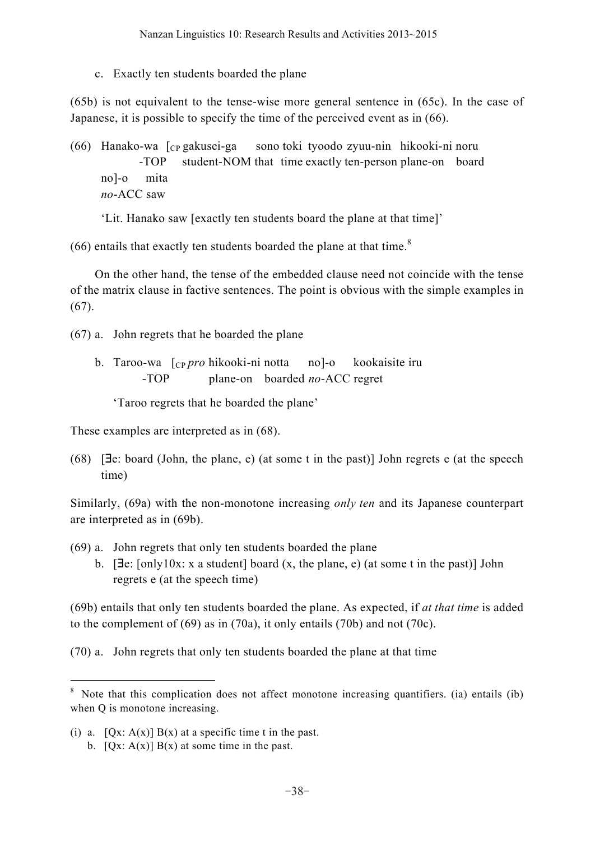c. Exactly ten students boarded the plane

(65b) is not equivalent to the tense-wise more general sentence in (65c). In the case of Japanese, it is possible to specify the time of the perceived event as in (66).

(66) Hanako-wa [CP gakusei-ga sono toki tyoodo zyuu-nin hikooki-ni noru -TOP student-NOM that time exactly ten-person plane-on board no]-o mita *no*-ACC saw

'Lit. Hanako saw [exactly ten students board the plane at that time]'

 $(66)$  entails that exactly ten students boarded the plane at that time.<sup>8</sup>

On the other hand, the tense of the embedded clause need not coincide with the tense of the matrix clause in factive sentences. The point is obvious with the simple examples in  $(67)$ .

(67) a. John regrets that he boarded the plane

b. Taroo-wa [CP *pro* hikooki-ni notta no]-o kookaisite iru -TOP plane-on boarded *no*-ACC regret

'Taroo regrets that he boarded the plane'

These examples are interpreted as in (68).

(68)  $[\exists e: board (John, the plane, e) (at some t in the past)] John regrets e (at the speech$ time)

Similarly, (69a) with the non-monotone increasing *only ten* and its Japanese counterpart are interpreted as in (69b).

- (69) a. John regrets that only ten students boarded the plane
	- b. [ $\exists e$ : [only10x: x a student] board (x, the plane, e) (at some t in the past)] John regrets e (at the speech time)

(69b) entails that only ten students boarded the plane. As expected, if *at that time* is added to the complement of (69) as in (70a), it only entails (70b) and not (70c).

(70) a. John regrets that only ten students boarded the plane at that time

<sup>&</sup>lt;sup>8</sup> Note that this complication does not affect monotone increasing quantifiers. (ia) entails (ib) when O is monotone increasing.

<sup>(</sup>i) a.  $[Qx: A(x)] B(x)$  at a specific time t in the past. b.  $[Qx: A(x)] B(x)$  at some time in the past.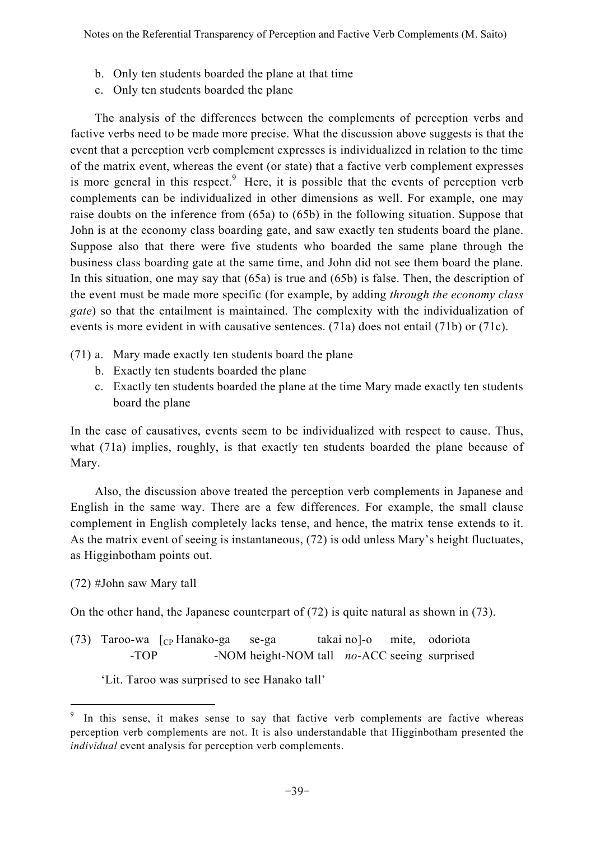- b. Only ten students boarded the plane at that time
- c. Only ten students boarded the plane

The analysis of the differences between the complements of perception verbs and factive verbs need to be made more precise. What the discussion above suggests is that the event that a perception verb complement expresses is individualized in relation to the time of the matrix event, whereas the event (or state) that a factive verb complement expresses is more general in this respect. $9$  Here, it is possible that the events of perception verb complements can be individualized in other dimensions as well. For example, one may raise doubts on the inference from (65a) to (65b) in the following situation. Suppose that John is at the economy class boarding gate, and saw exactly ten students board the plane. Suppose also that there were five students who boarded the same plane through the business class boarding gate at the same time, and John did not see them board the plane. In this situation, one may say that (65a) is true and (65b) is false. Then, the description of the event must be made more specific (for example, by adding *through the economy class gate*) so that the entailment is maintained. The complexity with the individualization of events is more evident in with causative sentences. (71a) does not entail (71b) or (71c).

- (71) a. Mary made exactly ten students board the plane
	- b. Exactly ten students boarded the plane
	- c. Exactly ten students boarded the plane at the time Mary made exactly ten students board the plane

In the case of causatives, events seem to be individualized with respect to cause. Thus, what (71a) implies, roughly, is that exactly ten students boarded the plane because of Mary.

Also, the discussion above treated the perception verb complements in Japanese and English in the same way. There are a few differences. For example, the small clause complement in English completely lacks tense, and hence, the matrix tense extends to it. As the matrix event of seeing is instantaneous, (72) is odd unless Mary's height fluctuates, as Higginbotham points out.

## (72) #John saw Mary tall

On the other hand, the Japanese counterpart of (72) is quite natural as shown in (73).

(73) Taroo-wa [CP Hanako-ga se-ga takai no]-o mite, odoriota -TOP -NOM height-NOM tall *no*-ACC seeing surprised

## 'Lit. Taroo was surprised to see Hanako tall'

In this sense, it makes sense to say that factive verb complements are factive whereas perception verb complements are not. It is also understandable that Higginbotham presented the *individual* event analysis for perception verb complements.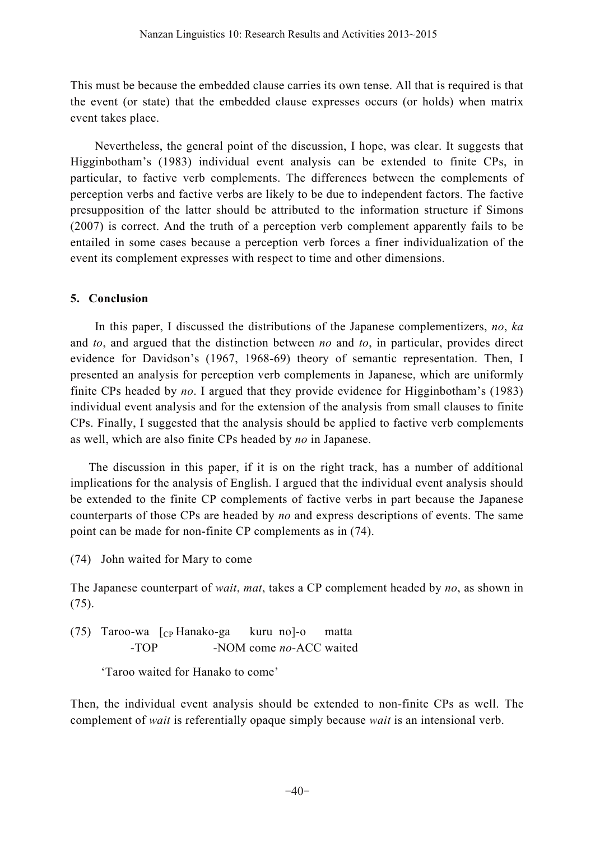This must be because the embedded clause carries its own tense. All that is required is that the event (or state) that the embedded clause expresses occurs (or holds) when matrix event takes place.

Nevertheless, the general point of the discussion, I hope, was clear. It suggests that Higginbotham's (1983) individual event analysis can be extended to finite CPs, in particular, to factive verb complements. The differences between the complements of perception verbs and factive verbs are likely to be due to independent factors. The factive presupposition of the latter should be attributed to the information structure if Simons (2007) is correct. And the truth of a perception verb complement apparently fails to be entailed in some cases because a perception verb forces a finer individualization of the event its complement expresses with respect to time and other dimensions.

## **5. Conclusion**

In this paper, I discussed the distributions of the Japanese complementizers, *no*, *ka* and *to*, and argued that the distinction between *no* and *to*, in particular, provides direct evidence for Davidson's (1967, 1968-69) theory of semantic representation. Then, I presented an analysis for perception verb complements in Japanese, which are uniformly finite CPs headed by *no*. I argued that they provide evidence for Higginbotham's (1983) individual event analysis and for the extension of the analysis from small clauses to finite CPs. Finally, I suggested that the analysis should be applied to factive verb complements as well, which are also finite CPs headed by *no* in Japanese.

The discussion in this paper, if it is on the right track, has a number of additional implications for the analysis of English. I argued that the individual event analysis should be extended to the finite CP complements of factive verbs in part because the Japanese counterparts of those CPs are headed by *no* and express descriptions of events. The same point can be made for non-finite CP complements as in (74).

(74) John waited for Mary to come

The Japanese counterpart of *wait*, *mat*, takes a CP complement headed by *no*, as shown in (75).

(75) Taroo-wa [CP Hanako-ga kuru no]-o matta -TOP -NOM come *no*-ACC waited

'Taroo waited for Hanako to come'

Then, the individual event analysis should be extended to non-finite CPs as well. The complement of *wait* is referentially opaque simply because *wait* is an intensional verb.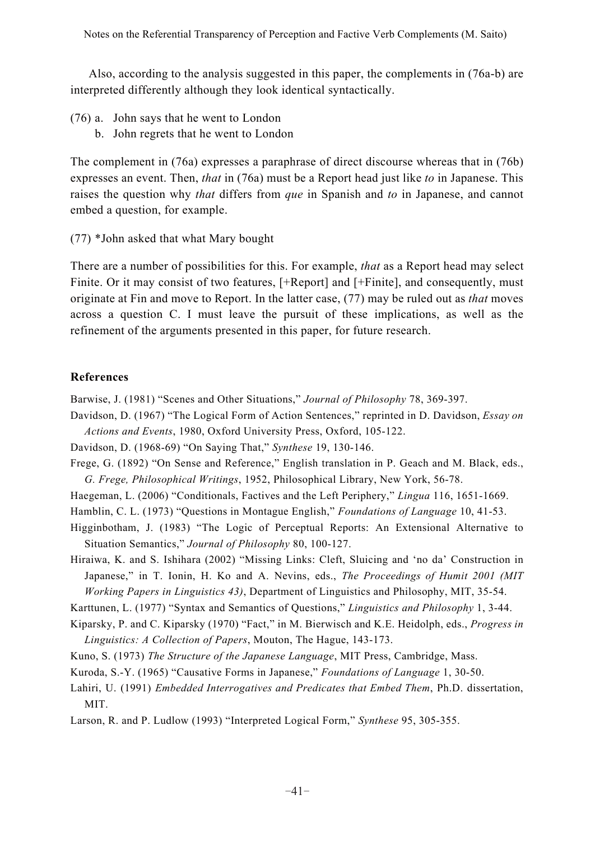Also, according to the analysis suggested in this paper, the complements in (76a-b) are interpreted differently although they look identical syntactically.

- (76) a. John says that he went to London
	- b. John regrets that he went to London

The complement in (76a) expresses a paraphrase of direct discourse whereas that in (76b) expresses an event. Then, *that* in (76a) must be a Report head just like *to* in Japanese. This raises the question why *that* differs from *que* in Spanish and *to* in Japanese, and cannot embed a question, for example.

(77) \*John asked that what Mary bought

There are a number of possibilities for this. For example, *that* as a Report head may select Finite. Or it may consist of two features,  $[+Report]$  and  $[+Finite]$ , and consequently, must originate at Fin and move to Report. In the latter case, (77) may be ruled out as *that* moves across a question C. I must leave the pursuit of these implications, as well as the refinement of the arguments presented in this paper, for future research.

## **References**

Barwise, J. (1981) "Scenes and Other Situations," *Journal of Philosophy* 78, 369-397.

Davidson, D. (1967) "The Logical Form of Action Sentences," reprinted in D. Davidson, *Essay on Actions and Events*, 1980, Oxford University Press, Oxford, 105-122.

Davidson, D. (1968-69) "On Saying That," *Synthese* 19, 130-146.

Frege, G. (1892) "On Sense and Reference," English translation in P. Geach and M. Black, eds., *G. Frege, Philosophical Writings*, 1952, Philosophical Library, New York, 56-78.

Haegeman, L. (2006) "Conditionals, Factives and the Left Periphery," *Lingua* 116, 1651-1669.

Hamblin, C. L. (1973) "Questions in Montague English," *Foundations of Language* 10, 41-53.

Higginbotham, J. (1983) "The Logic of Perceptual Reports: An Extensional Alternative to Situation Semantics," *Journal of Philosophy* 80, 100-127.

Hiraiwa, K. and S. Ishihara (2002) "Missing Links: Cleft, Sluicing and 'no da' Construction in Japanese," in T. Ionin, H. Ko and A. Nevins, eds., *The Proceedings of Humit 2001 (MIT Working Papers in Linguistics 43)*, Department of Linguistics and Philosophy, MIT, 35-54.

- Karttunen, L. (1977) "Syntax and Semantics of Questions," *Linguistics and Philosophy* 1, 3-44.
- Kiparsky, P. and C. Kiparsky (1970) "Fact," in M. Bierwisch and K.E. Heidolph, eds., *Progress in Linguistics: A Collection of Papers*, Mouton, The Hague, 143-173.
- Kuno, S. (1973) *The Structure of the Japanese Language*, MIT Press, Cambridge, Mass.
- Kuroda, S.-Y. (1965) "Causative Forms in Japanese," *Foundations of Language* 1, 30-50.
- Lahiri, U. (1991) *Embedded Interrogatives and Predicates that Embed Them*, Ph.D. dissertation, MIT.
- Larson, R. and P. Ludlow (1993) "Interpreted Logical Form," *Synthese* 95, 305-355.